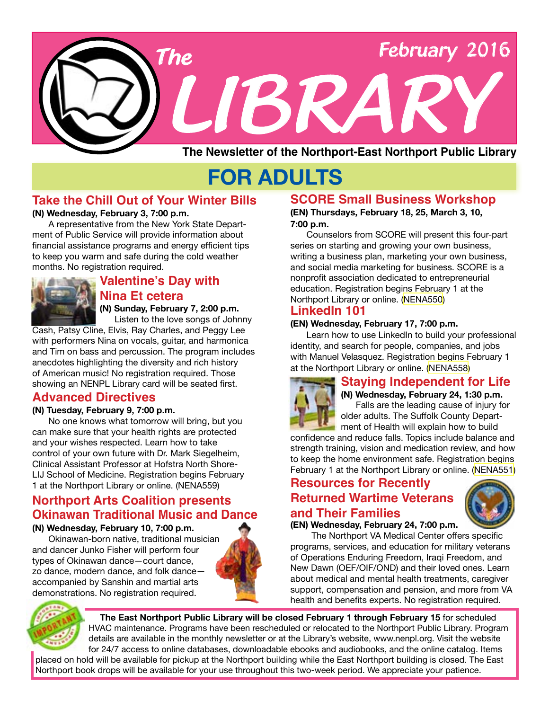

# **FOR ADULTS**

### **Take the Chill Out of Your Winter Bills**

#### **(N) Wednesday, February 3, 7:00 p.m.**

A representative from the New York State Department of Public Service will provide information about financial assistance programs and energy efficient tips to keep you warm and safe during the cold weather months. No registration required.



### **Valentine's Day with Nina Et cetera (N) Sunday, February 7, 2:00 p.m.**

Listen to the love songs of Johnny

Cash, Patsy Cline, Elvis, Ray Charles, and Peggy Lee with performers Nina on vocals, guitar, and harmonica and Tim on bass and percussion. The program includes anecdotes highlighting the diversity and rich history of American music! No registration required. Those showing an NENPL Library card will be seated first.

# **Advanced Directives**

#### **(N) Tuesday, February 9, 7:00 p.m.**

No one knows what tomorrow will bring, but you can make sure that your health rights are protected and your wishes respected. Learn how to take control of your own future with Dr. Mark Siegelheim, Clinical Assistant Professor at Hofstra North Shore-LIJ School of Medicine. Registration begins February 1 at the Northport Library or online. ([NENA559](http://alpha1.suffolk.lib.ny.us/record%3Dg1060968~S43)) **Resources for Recently** 

# **Northport Arts Coalition presents Okinawan Traditional Music and Dance**

#### **(N) Wednesday, February 10, 7:00 p.m.**

Okinawan-born native, traditional musician and dancer Junko Fisher will perform four types of Okinawan dance—court dance, zo dance, modern dance, and folk dance accompanied by Sanshin and martial arts demonstrations. No registration required.



# **SCORE Small Business Workshop**

**(EN) Thursdays, February 18, 25, March 3, 10, 7:00 p.m.**

Counselors from SCORE will present this four-part series on starting and growing your own business, writing a business plan, marketing your own business, and social media marketing for business. SCORE is a nonprofit association dedicated to entrepreneurial education. Registration begins February 1 at the Northport Library or online. [\(NENA550\)](http://alpha1.suffolk.lib.ny.us/record%3Dg1060972~S43)

### **LinkedIn 101**

#### **(EN) Wednesday, February 17, 7:00 p.m.**

Learn how to use LinkedIn to build your professional identity, and search for people, companies, and jobs with Manuel Velasquez. Registration begins February 1 at the Northport Library or online. [\(NENA558\)](http://alpha1.suffolk.lib.ny.us/record%3Dg1061174~S43)

# **Staying Independent for Life**



**(N) Wednesday, February 24, 1:30 p.m.** Falls are the leading cause of injury for older adults. The Suffolk County Department of Health will explain how to build

confidence and reduce falls. Topics include balance and strength training, vision and medication review, and how to keep the home environment safe. Registration begins February 1 at the Northport Library or online. [\(NENA551\)](http://alpha1.suffolk.lib.ny.us/record%3Dg1060971~S43)

# **Returned Wartime Veterans and Their Families**



# **(EN) Wednesday, February 24, 7:00 p.m.**

 The Northport VA Medical Center offers specific programs, services, and education for military veterans of Operations Enduring Freedom, Iraqi Freedom, and New Dawn (OEF/OIF/OND) and their loved ones. Learn about medical and mental health treatments, caregiver support, compensation and pension, and more from VA health and benefits experts. No registration required.



**The East Northport Public Library will be closed February 1 through February 15** for scheduled HVAC maintenance. Programs have been rescheduled or relocated to the Northport Public Library. Program details are available in the monthly newsletter or at the Library's website, www.nenpl.org. Visit the website for 24/7 access to online databases, downloadable ebooks and audiobooks, and the online catalog. Items placed on hold will be available for pickup at the Northport building while the East Northport building is closed. The East Northport book drops will be available for your use throughout this two-week period. We appreciate your patience.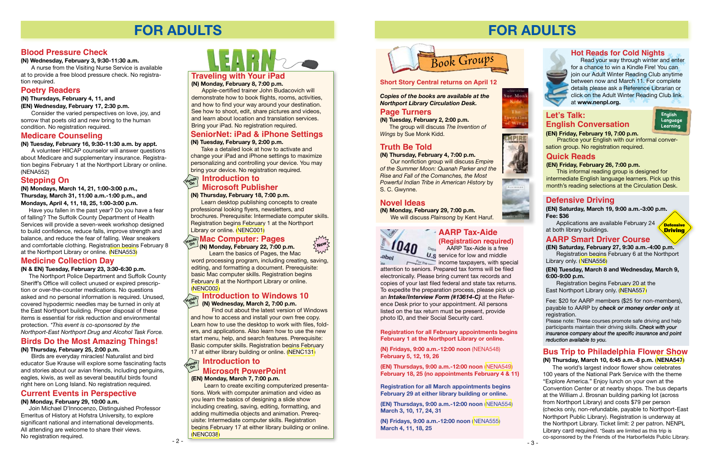# **FOR ADULTS**

# **Traveling with Your iPad**

**(N) Monday, February 8, 7:00 p.m.**

Apple-certified trainer John Budacovich will demonstrate how to book flights, rooms, activities, and how to find your way around your destination. See how to shoot, edit, share pictures and videos, and learn about location and translation services. Bring your iPad. No registration required.

#### **Current Events in Perspective**

#### **(N) Monday, February 29, 10:00 a.m.**

 Join Michael D'Innocenzo, Distinguished Professor Emeritus of History at Hofstra University, to explore significant national and international developments. All attending are welcome to share their views. No registration required.

# **Birds Do the Most Amazing Things!**

**(N) Thursday, February 25, 2:00 p.m.**

Birds are everyday miracles! Naturalist and bird educator Sue Krause will explore some fascinating facts and stories about our avian friends, including penguins, eagles, kiwis, as well as several beautiful birds found right here on Long Island. No registration required.

Learn the basics of Pages, the Mac word processing program, including creating, saving, editing, and formatting a document. Prerequisite: basic Mac computer skills. Registration begins February 8 at the Northport Library or online. [\(NENC002\)](http://alpha1.suffolk.lib.ny.us/record%3Dg1061154~S43)

#### **SeniorNet: iPad & iPhone Settings (N) Tuesday, February 9, 2:00 p.m.**

Take a detailed look at how to activate and change your iPad and iPhone settings to maximize personalizing and controlling your device. You may bring your device. No registration required.

#### **(N) Thursday, February 18, 7:00 p.m.**

Learn desktop publishing concepts to create professional looking flyers, newsletters, and brochures. Prerequisite: Intermediate computer skills. Registration begins February 1 at the Northport Library or online. [\(NENC001\)](http://alpha1.suffolk.lib.ny.us/record%3Dg1061152~S43)

 $\sum$ **New** $\left\{$ 

ML

**(N) Monday, February 22, 7:00 p.m.**

# **Medicine Collection Day**

#### **(N & EN) Tuesday, February 23, 3:30-6:30 p.m.**

 The Northport Police Department and Suffolk County Sheriff's Office will collect unused or expired prescription or over-the-counter medications. No questions asked and no personal information is required. Unused, covered hypodermic needles may be turned in only at the East Northport building. Proper disposal of these items is essential for risk reduction and environmental protection. *\*This event is co-sponsored by the Northport-East Northport Drug and Alcohol Task Force.*

#### **Introduction to Microsoft Publisher Hands On**

# **Mac Computer: Pages Hands On**

Find out about the latest version of Windows and how to access and install your own free copy. Learn how to use the desktop to work with files, folders, and applications. Also learn how to use the new start menu, help, and search features. Prerequisite: Basic computer skills. Registration begins February 17 at either library building or online. ([NENC131](http://alpha1.suffolk.lib.ny.us/record%3Dg1040832~S43))

#### **Medicare Counseling**

**(N) Tuesday, February 16, 9:30-11:30 a.m. by appt.**

# **AARP Tax-Aide (Registration required)**

**AARP** Tax-Aide is a free **U.s** service for low and middle

#### **Introduction to Windows 10 (N) Wednesday, March 2, 7:00 p.m. Hands On**

A volunteer HIICAP counselor will answer questions about Medicare and supplementary insurance. Registration begins February 1 at the Northport Library or online. (NENA552)

#### **Poetry Readers**

**(N) Thursdays, February 4, 11, and**

**(EN) Wednesday, February 17, 2:30 p.m.**

**For the come taxpayers, with special** attention to seniors. Prepared tax forms will be filed electronically. Please bring current tax records and copies of your last filed federal and state tax returns. To expedite the preparation process, please pick up an *Intake/Interview Form (#13614-C)* at the Reference Desk prior to your appointment. All persons listed on the tax return must be present, provide photo ID, and their Social Security card.

Consider the varied perspectives on love, joy, and sorrow that poets old and new bring to the human condition. No registration required.

# **Blood Pressure Check**

**(N) Wednesday, February 3, 9:30-11:30 a.m.**

A nurse from the Visiting Nurse Service is available at to provide a free blood pressure check. No registration required.

# **Introduction to Hands On Microsoft PowerPoint**

**(EN) Monday, March 7, 7:00 p.m.**

 Learn to create exciting computerized presentations. Work with computer animation and video as you learn the basics of designing a slide show including creating, saving, editing, formatting, and adding multimedia objects and animation. Prerequisite: Intermediate computer skills. Registration begins February 17 at either library building or online. [\(NENC038\)](http://alpha1.suffolk.lib.ny.us/record%3Dg1003402~S43)

# **Stepping On**

**(N) Mondays, March 14, 21, 1:00-3:00 p.m., Thursday, March 31, 11:00 a.m.-1:00 p.m., and Mondays, April 4, 11, 18, 25, 1:00-3:00 p.m.**

 Have you fallen in the past year? Do you have a fear of falling? The Suffolk County Department of Health Services will provide a seven-week workshop designed to build confidence, reduce falls, improve strength and balance, and reduce the fear of falling. Wear sneakers and comfortable clothing. Registration begins February 8 at the Northport Library or online. [\(NENA553\)](http://alpha1.suffolk.lib.ny.us/record%3Dg1060978~S43)

# **FOR ADULTS**



#### **Let's Talk: English Conversation (EN) Friday, February 19, 7:00 p.m.**



 Practice your English with our informal conversation group. No registration required.

#### **Quick Reads**

#### **(EN) Friday, February 26, 7:00 p.m.**

This informal reading group is designed for intermediate English language learners. Pick up this month's reading selections at the Circulation Desk.

#### **Hot Reads for Cold Nights**

 Read your way through winter and enter for a chance to win a Kindle Fire! You can join our Adult Winter Reading Club anytime between now and March 11. For complete details please ask a Reference Librarian or click on the Adult Winter Reading Club link at **www.nenpl.org.**

#### **Bus Trip to Philadelphia Flower Show (N) Thursday, March 10, 6:45 a.m.-8 p.m. [\(NENA547](http://alpha1.suffolk.lib.ny.us/record%3Dg1060206~S43))**

The world's largest indoor flower show celebrates 100 years of the National Park Service with the theme "Explore America." Enjoy lunch on your own at the Convention Center or at nearby shops. The bus departs at the William J. Brosnan building parking lot (across from Northport Library) and costs \$79 per person (checks only, non-refundable, payable to Northport-East Northport Public Library). Registration is underway at the Northport Library. Ticket limit: 2 per patron. NENPL Library card required. \*Seats are limited as this trip is co-sponsored by the Friends of the Harborfields Public Library.

**Registration for all February appointments begins February 1 at the Northport Library or online.** 

**(N) Fridays, 9:00 a.m.-12:00 noon** [\(NENA54](http://alpha1.suffolk.lib.ny.us/record%3Dg1060484~S43)8) **February 5, 12, 19, 26**

**(EN) Thursdays, 9:00 a.m.-12:00 noon** ([NENA549](http://alpha1.suffolk.lib.ny.us/record%3Dg1060456~S43)) **February 18, 25 (no appointments February 4 & 11)**

**Registration for all March appointments begins February 29 at either library building or online.** 

**(EN) Thursdays, 9:00 a.m.-12:00 noon** ([NENA554](http://alpha1.suffolk.lib.ny.us/record%3Dg1061071~S43)) **March 3, 10, 17, 24, 31**

**(N) Fridays, 9:00 a.m.-12:00 noon** [\(NENA555](http://alpha1.suffolk.lib.ny.us/record%3Dg1061173~S43)) **March 4, 11, 18, 25**



ue Mon

ratio Wings

#### **Short Story Central returns on April 12**

*Copies of the books are available at the Northport Library Circulation Desk.* 

#### **Page Turners**

**(N) Tuesday, February 2, 2:00 p.m.** The group will discuss *The Invention of Wings* by Sue Monk Kidd.

# **Truth Be Told**

**(N) Thursday, February 4, 7:00 p.m.** Our nonfiction group will discuss *Empire of the Summer Moon: Quanah Parker and the Rise and Fall of the Comanches, the Most Powerful Indian Tribe in American History* by S. C. Gwynne.

#### **Novel Ideas**

**(N) Monday, February 29, 7:00 p.m.** We will discuss *Plainsong* by Kent Haruf.





#### **Defensive Driving**

# **AARP Smart Driver Course**

**(EN) Saturday, February 27, 9:30 a.m.-4:00 p.m.** Registration begins February 6 at the Northport Library only. ([NENA556](http://alpha1.suffolk.lib.ny.us/record%3Dg1061035~S43))

Please note: These courses promote safe driving and help participants maintain their driving skills. *Check with your insurance company about the specific insurance and point reduction available to you.*

**(EN) Saturday, March 19, 9:00 a.m.-3:00 p.m. Fee: \$36**

Applications are available February 24 at both library buildings.



**(EN) Tuesday, March 8 and Wednesday, March 9, 6:00-9:00 p.m.**

Registration begins February 20 at the East Northport Library only. ([NENA557\)](http://alpha1.suffolk.lib.ny.us/record%3Dg1061038~S43)

Fee: \$20 for AARP members (\$25 for non-members), payable to AARP by *check or money order only* at registration.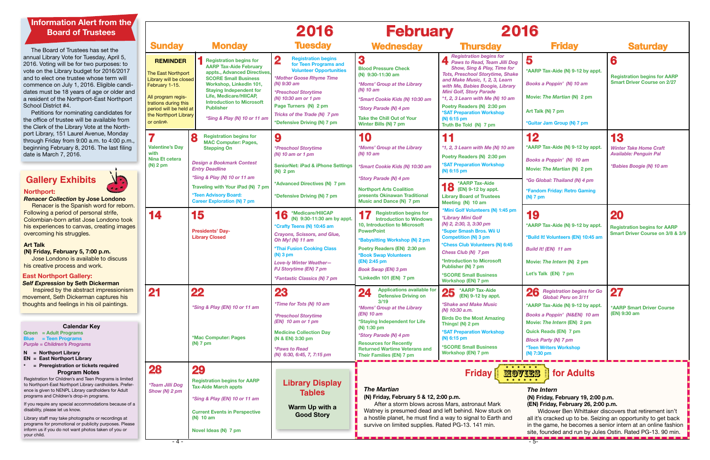Registration for Children's and Teen Programs is limited to Northport-East Northport Library cardholders. Preference is given to NENPL Library cardholders for Adult programs and Children's drop-in programs.

If you require any special accommodations because of a disability, please let us know.

Library staff may take photographs or recordings at programs for promotional or publicity purposes. Please inform us if you do not want photos taken of you or your child.

#### **Program Notes**

**Green = Adult Programs Blue = Teen Programs** *Purple = Children's Programs* **Calendar Key**

#### **N = Northport Library EN = East Northport Library**

**\* = Preregistration or tickets required**

#### **Northport:**

*Renacer Collection* **by Jose Londono**  Renacer is the Spanish word for reborn. Following a period of personal strife, Colombian-born artist Jose Londono took his experiences to canvas, creating images overcoming his struggles.

#### **Art Talk**

**(N) Friday, February 5, 7:00 p.m.** Jose Londono is available to discuss his creative process and work.

# **Gallery Exhibits**

#### **East Northport Gallery:**

#### *Self Expression* **by Seth Dickerman**

Inspired by the abstract impressionism movement, Seth Dickerman captures his thoughts and feelings in his oil paintings.

|   | 2016<br>2016<br><b>February</b>                                                                                                                                                                  |                                                                                                                                                                                                                                                                                                              |                                                                                                                                                                                                                                                                                                                     |                                                                                                                                                                                                                                                                                                                            |                                                                                                                                                                                                                                                                                                                                                                                                              |                                                                                                                                                                                                                                                                                                                              |                                                                                                  |
|---|--------------------------------------------------------------------------------------------------------------------------------------------------------------------------------------------------|--------------------------------------------------------------------------------------------------------------------------------------------------------------------------------------------------------------------------------------------------------------------------------------------------------------|---------------------------------------------------------------------------------------------------------------------------------------------------------------------------------------------------------------------------------------------------------------------------------------------------------------------|----------------------------------------------------------------------------------------------------------------------------------------------------------------------------------------------------------------------------------------------------------------------------------------------------------------------------|--------------------------------------------------------------------------------------------------------------------------------------------------------------------------------------------------------------------------------------------------------------------------------------------------------------------------------------------------------------------------------------------------------------|------------------------------------------------------------------------------------------------------------------------------------------------------------------------------------------------------------------------------------------------------------------------------------------------------------------------------|--------------------------------------------------------------------------------------------------|
|   | <b>Sunday</b>                                                                                                                                                                                    | <b>Monday</b>                                                                                                                                                                                                                                                                                                | <b>Tuesday</b>                                                                                                                                                                                                                                                                                                      | <b>Wednesday</b>                                                                                                                                                                                                                                                                                                           | <b>Thursday</b>                                                                                                                                                                                                                                                                                                                                                                                              | <b>Friday</b>                                                                                                                                                                                                                                                                                                                | <b>Saturday</b>                                                                                  |
|   | <b>REMINDER</b><br>The East Northport<br>Library will be closed<br>February 1-15.<br>All program regis-<br>trations during this<br>period will be held at<br>the Northport Library<br>or online. | <b>Registration begins for</b><br><b>AARP Tax-Aide February</b><br>appts., Advanced Directives<br><b>SCORE Small Business</b><br>Workshop, Linkedln 101,<br><b>Staying Independent for</b><br>Life, Medicare/HIICAP,<br><b>Introduction to Microsoft</b><br><b>Publisher</b><br>*Sing & Play (N) 10 or 11 am | $\overline{\mathbf{2}}$<br><b>Registration begins</b><br>for Teen Programs and<br><b>Volunteer Opportunities</b><br>*Mother Goose Rhyme Time<br>$(N)$ 9:30 am<br><i><b>*Preschool Storytime</b></i><br>(N) 10:30 am or 1 pm<br>Page Turners (N) 2 pm<br>Tricks of the Trade (N) 7 pm<br>*Defensive Driving (N) 7 pm | 3<br><b>Blood Pressure Check</b><br>(N) 9:30-11:30 am<br><i><b>*Moms' Group at the Library</b></i><br>(N) 10 am<br>*Smart Cookie Kids (N) 10:30 am<br>*Story Parade (N) 4 pm<br><b>Take the Chill Out of Your</b><br>Winter Bills (N) 7 pm                                                                                 | <b>Registration begins for</b><br>Paws to Read, Team Jilli Dog<br><b>Show, Sing &amp; Play, Time for</b><br><b>Tots, Preschool Storytime, Shake</b><br>and Make Music, 1, 2, 3, Learn<br>with Me, Babies Boogie, Library<br><b>Mini Golf, Story Parade</b><br>$*1$ , 2, 3 Learn with Me (N) 10 am<br>Poetry Readers (N) 2:30 pm<br><b>*SAT Preparation Workshop</b><br>(N) 6:15 pm<br>Truth Be Told (N) 7 pm | 5<br>*AARP Tax-Aide (N) 9-12 by appt.<br>Books a Poppin' (N) 10 am<br>Movie: The Martian (N) 2 pm<br>Art Talk (N) 7 pm<br>*Guitar Jam Group (N) 7 pm                                                                                                                                                                         | 6<br><b>Registration begins for AARP</b><br><b>Smart Driver Course on 2/27</b>                   |
|   | 7<br><b>Valentine's Day</b><br>with<br><b>Nina Et cetera</b><br>$(N)$ 2 pm                                                                                                                       | 8<br><b>Registration begins for</b><br><b>MAC Computer: Pages,</b><br><b>Stepping On</b><br><b>Design a Bookmark Contest</b><br><b>Entry Deadline</b><br>*Sing & Play (N) 10 or 11 am<br>Traveling with Your iPad (N) 7 pm<br><b>*Teen Advisory Board:</b><br><b>Career Exploration (N) 7 pm</b>             | 9<br><i><b>*Preschool Storytime</b></i><br>$(N)$ 10 am or 1 pm<br><b>SeniorNet: iPad &amp; iPhone Settings</b><br>$(N)$ 2 pm<br>*Advanced Directives (N) 7 pm<br>*Defensive Driving (N) 7 pm                                                                                                                        | 10<br>*Moms' Group at the Library<br>$(N)$ 10 am<br>*Smart Cookie Kids (N) 10:30 am<br>*Story Parade (N) 4 pm<br><b>Northport Arts Coalition</b><br>presents Okinawan Traditional<br><b>Music and Dance (N) 7 pm</b>                                                                                                       | 11<br>$*1$ , 2, 3 Learn with Me (N) 10 am<br>Poetry Readers (N) 2:30 pm<br><b>*SAT Preparation Workshop</b><br>(N) 6:15 pm<br>*AARP Tax-Aide<br>$\bullet$ (EN) 9-12 by appt.<br><b>Library Board of Trustees</b><br>Meeting (N) 10 am                                                                                                                                                                        | 12<br>*AARP Tax-Aide (N) 9-12 by appt.<br>Books a Poppin' (N) 10 am<br>Movie: The Martian (N) 2 pm<br><i>*Go Global: Thailand (N) 4 pm</i><br>*Fandom Friday: Retro Gaming<br>$(N)$ 7 pm                                                                                                                                     | 13<br><b>Winter Take Home Craft</b><br><b>Available: Penguin Pal</b><br>*Babies Boogie (N) 10 am |
| s | 14                                                                                                                                                                                               | 15<br><b>Presidents' Day-</b><br><b>Library Closed</b>                                                                                                                                                                                                                                                       | 16<br>*Medicare/HIICAP<br>(N) 9:30-11:30 am by appt.<br>*Crafty Teens (N) 10:45 am<br><b>Crayons, Scissors, and Glue,</b><br>Oh My! (N) 11 am<br><b>*Thai Fusion Cooking Class</b><br>$(N)$ 3 pm<br><b>Love-ly Winter Weather-</b><br><b>PJ Storytime (EN) 7 pm</b><br><i><b>*Fantastic Classics (N) 7 pm</b></i>   | <b>Registration begins for</b><br><b>Introduction to Windows</b><br>10, Introduction to Microsoft<br><b>PowerPoint</b><br>*Babysitting Workshop (N) 2 pm<br>Poetry Readers (EN) 2:30 pm<br><b>*Book Swap Volunteers</b><br>(EN) 2:45 pm<br><b>Book Swap (EN) 3 pm</b><br>*LinkedIn 101 (EN) 7 pm                           | *Mini Golf Volunteers (N) 1:45 pm<br>*Library Mini Golf<br>(N) 2, 2:30, 3, 3:30 pm<br>*Super Smash Bros. Wii U<br><b>Competition (N) 3 pm</b><br>*Chess Club Volunteers (N) 6:45<br>Chess Club (N) 7 pm<br>*Introduction to Microsoft<br>Publisher (N) 7 pm<br><b>*SCORE Small Business</b><br><b>Workshop (EN) 7 pm</b>                                                                                     | 19<br>*AARP Tax-Aide (N) 9-12 by appt.<br>*Build It! Volunteers (EN) 10:45 am<br><b>Build It! (EN) 11 am</b><br>Movie: The Intern (N) 2 pm<br>Let's Talk (EN) 7 pm                                                                                                                                                           | <b>20</b><br><b>Registration begins for AARP</b><br>Smart Driver Course on 3/8 & 3/9             |
|   | 21                                                                                                                                                                                               | 22<br>*Sing & Play (EN) 10 or 11 am<br>*Mac Computer: Pages<br>(N) 7 pm                                                                                                                                                                                                                                      | 23<br>*Time for Tots (N) 10 am<br><i><b>*Preschool Storytime</b></i><br>$(EN)$ 10 am or 1 pm<br><b>Medicine Collection Day</b><br>(N & EN) 3:30 pm<br><i><b>*Paws to Read</b></i><br>(N) 6:30, 6:45, 7, 7:15 pm                                                                                                     | <b>Applications available for</b><br>24<br><b>Defensive Driving on</b><br>3/19<br><i><b>*Moms' Group at the Library</b></i><br>$(EN)$ 10 am<br>*Staying Independent for Life<br>(N) 1:30 pm<br>*Story Parade (N) 4 pm<br><b>Resources for Recently</b><br><b>Returned Wartime Veterans and</b><br>Their Families (EN) 7 pm | $25$ *AARP Tax-Aide<br>(EN) 9-12 by appt.<br><i><b>*Shake and Make Music</b></i><br>$(N)$ 10:30 a.m.<br><b>Birds Do the Most Amazing</b><br>Things! (N) 2 pm<br><b>*SAT Preparation Workshop</b><br>(N) 6:15 pm<br><b>*SCORE Small Business</b><br><b>Workshop (EN) 7 pm</b>                                                                                                                                 | 26 Registration begins for Go<br>Global: Peru on 3/11<br>*AARP Tax-Aide (N) 9-12 by appt.<br>Books a Poppin' (N&EN) 10 am<br>Movie: The Intern (EN) 2 pm<br><b>Quick Reads (EN) 7 pm</b><br><b>Block Party (N) 7 pm</b><br><b>*Teen Writers Workshop</b><br>(N) 7:30 pm                                                      | 27<br><b>*AARP Smart Driver Course</b><br>(EN) 9:30 am                                           |
| а | <b>28</b><br><i><b>*Team Jilli Dog</b></i><br>Show (N) 2 pm                                                                                                                                      | 29<br><b>Registration begins for AARP</b><br><b>Tax-Aide March appts</b><br>*Sing & Play (EN) 10 or 11 am<br><b>Current Events in Perspective</b><br>$(N)$ 10 am<br>Novel Ideas (N) 7 pm                                                                                                                     | <b>Library Display</b><br><b>Tables</b><br>Warm Up with a<br><b>Good Story</b>                                                                                                                                                                                                                                      | <b>The Martian</b><br>(N) Friday, February 5 & 12, 2:00 p.m.<br>After a storm blows across Mars, astronaut Mark<br>survive on limited supplies. Rated PG-13. 141 min.                                                                                                                                                      | <b>Friday</b><br>Watney is presumed dead and left behind. Now stuck on<br>a hostile planet, he must find a way to signal to Earth and                                                                                                                                                                                                                                                                        | <b>MOVIES</b><br>for Adults<br><b>The Intern</b><br>(N) Friday, February 19, 2:00 p.m.<br>(EN) Friday, February 26, 2:00 p.m.<br>all it's cracked up to be. Seizing an opportunity to get back<br>in the game, he becomes a senior intern at an online fashion<br>site, founded and run by Jules Ostin. Rated PG-13. 90 min. | Widower Ben Whittaker discovers that retirement isn't                                            |

The Board of Trustees has set the annual Library Vote for Tuesday, April 5, 2016. Voting will be for two purposes: to vote on the Library budget for 2016/2017 and to elect one trustee whose term will commence on July 1, 2016. Eligible candidates must be 18 years of age or older and a resident of the Northport-East Northport School District #4.

Petitions for nominating candidates for the office of trustee will be available from the Clerk of the Library Vote at the Northport Library, 151 Laurel Avenue, Monday through Friday from 9:00 a.m. to 4:00 p.m., beginning February 8, 2016. The last filing date is March 7, 2016.

# **Information Alert from the Board of Trustees**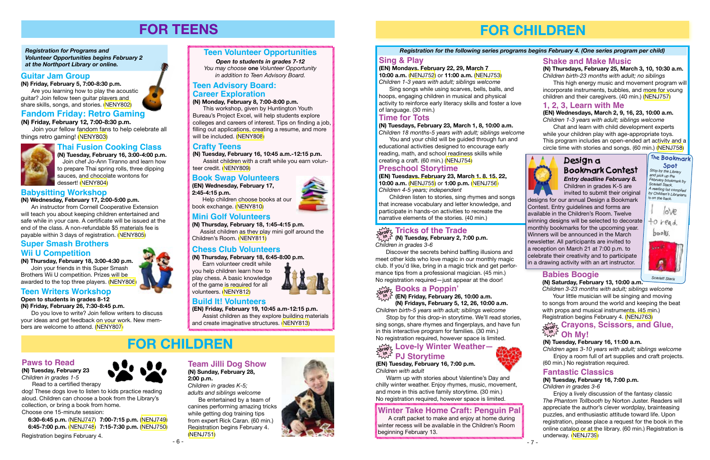- 6 -

# **FOR TEENS**

*Registration for Programs and Volunteer Opportunities begins February 2 at the Northport Library or online.*

# **Teen Volunteer Opportunities**

*Open to students in grades 7-12*

*You may choose* **one** *Volunteer Opportunity in addition to Teen Advisory Board.* 



Join your fellow fandom fans to help celebrate all things retro gaming! ([NENY803\)](http://alpha1.suffolk.lib.ny.us/record%3Dg1060432~S43)

# **Guitar Jam Group**

**(N) Friday, February 5, 7:00-8:30 p.m.** Are you learning how to play the acoustic guitar? Join fellow teen guitar players and share skills, songs, and stories. ([NENY802\)](http://alpha1.suffolk.lib.ny.us/record%3Dg1060421~S43)

# **Chess Club Volunteers**

**(N) Thursday, February 18, 6:45-8:00 p.m.**

Earn volunteer credit while



you help children learn how to play chess. A basic knowledge of the game is required for all volunteers. ([NENY812](http://alpha1.suffolk.lib.ny.us/record%3Dg1060600~S43))



### **Teen Advisory Board: Career Exploration**

**(N) Monday, February 8, 7:00-8:00 p.m.**

This workshop, given by Huntington Youth Bureau's Project Excel, will help students explore colleges and careers of interest. Tips on finding a job, filling out applications, creating a resume, and more will be included. ([NENY808](http://alpha1.suffolk.lib.ny.us/record%3Dg1060897~S43))

# **Thai Fusion Cooking Class**

**(N) Tuesday, February 16, 3:00-4:00 p.m.** Join chef Jo-Ann Tiranno and learn how to prepare Thai spring rolls, three dipping sauces, and chocolate wontons for dessert! ([NENY804\)](http://alpha1.suffolk.lib.ny.us/record%3Dg1060446~S43)

# **FOR CHILDREN**

#### **Crafty Teens**

**(N) Tuesday, February 16, 10:45 a.m.-12:15 p.m.**

Assist children with a craft while you earn volunteer credit. ([NENY809](http://alpha1.suffolk.lib.ny.us/record%3Dg1060529~S43))

# **Babysitting Workshop**

**(N) Wednesday, February 17, 2:00-5:00 p.m.**

An instructor from Cornell Cooperative Extension will teach you about keeping children entertained and safe while in your care. A certificate will be issued at the end of the class. A non-refundable \$5 materials fee is payable within 3 days of registration. [\(NENY805\)](http://alpha1.suffolk.lib.ny.us/record%3Dg1060447~S43)

### **Super Smash Brothers Wii U Competition**

**(N) Thursday, February 18, 3:00-4:30 p.m.**

Join your friends in this Super Smash Brothers Wii U competition. Prizes will be awarded to the top three players. [\(NENY806](http://alpha1.suffolk.lib.ny.us/record%3Dg1060448~S43))

# **Teen Writers Workshop**

**Open to students in grades 8-12 (N) Friday, February 26, 7:30-8:45 p.m.**

Do you love to write? Join fellow writers to discuss your ideas and get feedback on your work. New members are welcome to attend. [\(NENY807](http://alpha1.suffolk.lib.ny.us/record%3Dg1060519~S43))

# **Book Swap Volunteers**

**(EN) Wednesday, February 17, 2:45-4:15 p.m.**

Help children choose books at our book exchange. [\(NENY810\)](http://alpha1.suffolk.lib.ny.us/record%3Dg1060592~S43)

# **Mini Golf Volunteers**

**(N) Thursday, February 18, 1:45-4:15 p.m.**

 Assist children as they play mini golf around the Children's Room. [\(NENY811\)](http://alpha1.suffolk.lib.ny.us/record%3Dg1060593~S43)

# **Build It! Volunteers**

**(EN) Friday, February 19, 10:45 a.m-12:15 p.m.** Assist children as they explore building materials and create imaginative structures. ([NENY813](http://alpha1.suffolk.lib.ny.us/record%3Dg1060605~S43))

#### **Paws to Read**

**(N) Tuesday, February 23** *Children in grades 1-5*

Read to a certified therapy dog! These dogs love to listen to kids practice reading

aloud. Children can choose a book from the Library's collection, or bring a book from home. Choose one 15-minute session:

 **6:30-6:45 p.m.** [\(NENJ747\)](http://alpha1.suffolk.lib.ny.us/record%3Dg1060290~S43) **7:00-7:15 p.m.** ([NENJ749](http://alpha1.suffolk.lib.ny.us/record%3Dg1060292~S43)) **6:45-7:00 p.m.** [\(NENJ748\)](http://alpha1.suffolk.lib.ny.us/record%3Dg1060291~S43) **7:15-7:30 p.m.** ([NENJ750](http://alpha1.suffolk.lib.ny.us/record%3Dg1060293~S43))

Registration begins February 4.

# **Team Jilli Dog Show (N) Sunday, February 28,**

**2:00 p.m.** *Children in grades K-5; adults and siblings welcome*

Be entertained by a team of canines performing amazing tricks while getting dog training tips from expert Rick Caran. (60 min.) Registration begins February 4. ([NENJ751](http://alpha1.suffolk.lib.ny.us/record%3Dg1059594~S43))



# **FOR CHILDREN**

# **Time for Tots**

**(N) Tuesdays, February 23, March 1, 8, 10:00 a.m.**

*Children 18 months-5 years with adult; siblings welcome* You and your child will be guided through fun and educational activities designed to encourage early

# $\omega_{\rm new}^{\rm max}$  Crayons, Scissors, and Glue, **Oh My! in**

reading, math, and school readiness skills while creating a craft. (60 min.) [\(NENJ754\)](http://alpha1.suffolk.lib.ny.us/record%3Dg1060351~S43)

# **Preschool Storytime**

**(EN) Tuesdays, February 23, March 1, 8, 15, 22, 10:00 a.m.** ([NENJ755](http://alpha1.suffolk.lib.ny.us/record%3Dg1060305~S43)) or **1:00 p.m.** ([NENJ756](http://alpha1.suffolk.lib.ny.us/record%3Dg1060309~S43)) *Children 4-5 years; independent*

invited to submit their original designs for our annual Design a Bookmark Contest. Entry guidelines and forms are available in the Children's Room. Twelve winning designs will be selected to decorate monthly bookmarks for the upcoming year. Winners will be announced in the March newsletter. All participants are invited to a reception on March 21 at 7:00 p.m. to celebrate their creativity and to participate in a drawing activity with an art instructor.

Children listen to stories, sing rhymes and songs that increase vocabulary and letter knowledge, and participate in hands-on activities to recreate the narrative elements of the stories. (40 min.)

# $\delta_{\rm rev}$  Tricks of the Trade

#### Design a Bookmark Contest Children in grades K-5 are *Entry deadline February 8.*

# $\sum\limits_{\alpha\in\mathcal{O}}\sum\limits_{\gamma>0}$  Love-ly Winter Weather— **PJ Storytime in**

#### **1, 2, 3, Learn with Me**

**(EN) Wednesdays, March 2, 9, 16, 23, 10:00 a.m.** *Children 1-3 years with adult; siblings welcome*

Chat and learn with child development experts while your children play with age-appropriate toys. This program includes an open-ended art activity and a circle time with stories and songs. (60 min.) [\(NENJ758\)](http://alpha1.suffolk.lib.ny.us/record%3Dg1060317~S43)



# **Sing & Play**

**(EN) Mondays, February 22, 29, March 7 10:00 a.m.** ([NENJ752](http://alpha1.suffolk.lib.ny.us/record%3Dg1060299~S43)) or **11:00 a.m.** ([NENJ753](http://alpha1.suffolk.lib.ny.us/record%3Dg1060303~S43)) *Children 1-3 years with adult; siblings welcome*

Sing songs while using scarves, bells, balls, and hoops, engaging children in musical and physical activity to reinforce early literacy skills and foster a love of language. (30 min.)

#### **Shake and Make Music**

**(N) Thursdays, February 25, March 3, 10, 10:30 a.m.** *Children birth-23 months with adult; no siblings*

This high energy music and movement program will incorporate instruments, bubbles, and more for young children and their caregivers. (40 min.) [\(NENJ757\)](http://alpha1.suffolk.lib.ny.us/record%3Dg1060360~S43)

#### *Registration for the following series programs begins February 4. (One series program per child)*

**(EN) Tuesday, February 16, 7:00 p.m.** *Children with adult*

Warm up with stories about Valentine's Day and chilly winter weather. Enjoy rhymes, music, movement, and more in this active family storytime. (30 min.) No registration required, however space is limited.

**(N) Tuesday, February 2, 7:00 p.m. in** *Children in grades 3-6*

Discover the secrets behind baffling illusions and meet other kids who love magic in our monthly magic club. If you'd like, bring in a magic trick and get performance tips from a professional magician. (45 min.) No registration required—just appear at the door!

**(EN) Friday, February 26, 10:00 a.m. (N) Fridays, February 5, 12, 26, 10:00 a.m.** *Children birth-5 years with adult; siblings welcome*

Stop by for this drop-in storytime. We'll read stories, sing songs, share rhymes and fingerplays, and have fun

in this interactive program for families. (30 min.) No registration required, however space is limited.

# **Winter Take Home Craft: Penguin Pal**

A craft packet to make and enjoy at home during winter recess will be available in the Children's Room beginning February 13.



#### **Babies Boogie**

#### **(N) Saturday, February 13, 10:00 a.m.**

*Children 3-23 months with adult; siblings welcome* Your little musician will be singing and moving to songs from around the world and keeping the beat with props and musical instruments. (45 min.)<br>Registration begins February 4. (NENJ763) Registration begins February 4. [\(NENJ763\)](http://alpha1.suffolk.lib.ny.us/record%3Dg1060316~S43)

**Fantastic Classics**

#### **(N) Tuesday, February 16, 7:00 p.m.**

*Children in grades 3-6*

Enjoy a lively discussion of the fantasy classic *The Phantom Tollbooth* by Norton Juster. Readers will appreciate the author's clever wordplay, brainteasing puzzles, and enthusiastic attitude toward life. Upon registration, please place a request for the book in the online catalog or at the library. (60 min.) Registration is underway. [\(NENJ739\)](http://alpha1.suffolk.lib.ny.us/record%3Dg1059711~S43)

#### **Books a Poppin' drop in**

#### **(N) Tuesday, February 16, 11:00 a.m.**

*Children ages 3-10 years with adult; siblings welcome* Enjoy a room full of art supplies and craft projects. (60 min.) No registration required.